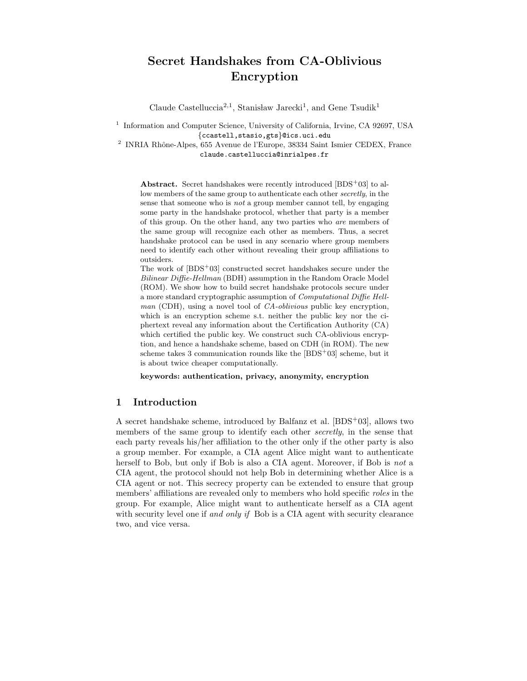# Secret Handshakes from CA-Oblivious Encryption

Claude Castelluccia<sup>2,1</sup>, Stanisław Jarecki<sup>1</sup>, and Gene Tsudik<sup>1</sup>

<sup>1</sup> Information and Computer Science, University of California, Irvine, CA 92697, USA {ccastell,stasio,gts}@ics.uci.edu

<sup>2</sup> INRIA Rhône-Alpes, 655 Avenue de l'Europe, 38334 Saint Ismier CEDEX, France claude.castelluccia@inrialpes.fr

**Abstract.** Secret handshakes were recently introduced  $[BDS^+03]$  to allow members of the same group to authenticate each other secretly, in the sense that someone who is not a group member cannot tell, by engaging some party in the handshake protocol, whether that party is a member of this group. On the other hand, any two parties who are members of the same group will recognize each other as members. Thus, a secret handshake protocol can be used in any scenario where group members need to identify each other without revealing their group affiliations to outsiders.

The work of  $[BDS^+03]$  constructed secret handshakes secure under the Bilinear Diffie-Hellman (BDH) assumption in the Random Oracle Model (ROM). We show how to build secret handshake protocols secure under a more standard cryptographic assumption of Computational Diffie Hellman (CDH), using a novel tool of *CA-oblivious* public key encryption, which is an encryption scheme s.t. neither the public key nor the ciphertext reveal any information about the Certification Authority (CA) which certified the public key. We construct such CA-oblivious encryption, and hence a handshake scheme, based on CDH (in ROM). The new scheme takes 3 communication rounds like the  $[BDS<sup>+</sup>03]$  scheme, but it is about twice cheaper computationally.

keywords: authentication, privacy, anonymity, encryption

# 1 Introduction

A secret handshake scheme, introduced by Balfanz et al.  $[BDS<sup>+</sup>03]$ , allows two members of the same group to identify each other secretly, in the sense that each party reveals his/her affiliation to the other only if the other party is also a group member. For example, a CIA agent Alice might want to authenticate herself to Bob, but only if Bob is also a CIA agent. Moreover, if Bob is not a CIA agent, the protocol should not help Bob in determining whether Alice is a CIA agent or not. This secrecy property can be extended to ensure that group members' affiliations are revealed only to members who hold specific roles in the group. For example, Alice might want to authenticate herself as a CIA agent with security level one if and only if Bob is a CIA agent with security clearance two, and vice versa.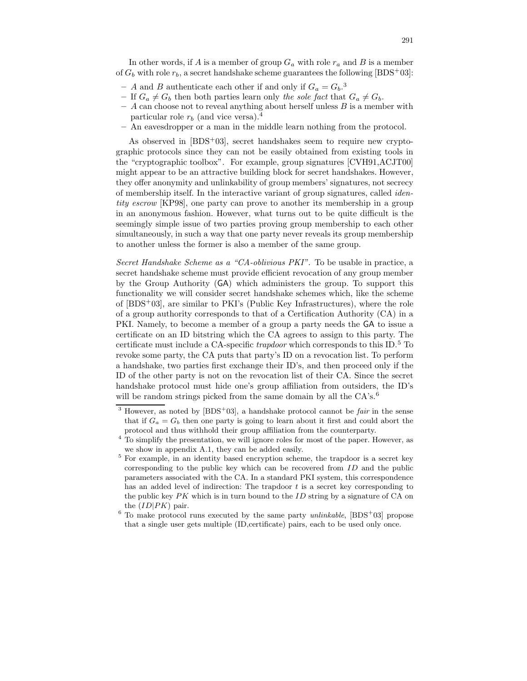In other words, if A is a member of group  $G_a$  with role  $r_a$  and B is a member of  $G_b$  with role  $r_b$ , a secret handshake scheme guarantees the following [BDS<sup>+</sup>03]:

- A and B authenticate each other if and only if  $G_a = G_b$ <sup>3</sup>
- If  $G_a \neq G_b$  then both parties learn only the sole fact that  $G_a \neq G_b$ .
- $-$  A can choose not to reveal anything about herself unless  $B$  is a member with particular role  $r_b$  (and vice versa).<sup>4</sup>
- An eavesdropper or a man in the middle learn nothing from the protocol.

As observed in  $[**BDS**<sup>+</sup>**03**],$  secret handshakes seem to require new cryptographic protocols since they can not be easily obtained from existing tools in the "cryptographic toolbox". For example, group signatures [CVH91,ACJT00] might appear to be an attractive building block for secret handshakes. However, they offer anonymity and unlinkability of group members' signatures, not secrecy of membership itself. In the interactive variant of group signatures, called identity escrow [KP98], one party can prove to another its membership in a group in an anonymous fashion. However, what turns out to be quite difficult is the seemingly simple issue of two parties proving group membership to each other simultaneously, in such a way that one party never reveals its group membership to another unless the former is also a member of the same group.

Secret Handshake Scheme as a "CA-oblivious PKI". To be usable in practice, a secret handshake scheme must provide efficient revocation of any group member by the Group Authority (GA) which administers the group. To support this functionality we will consider secret handshake schemes which, like the scheme of  $[BDS<sup>+</sup>03]$ , are similar to PKI's (Public Key Infrastructures), where the role of a group authority corresponds to that of a Certification Authority (CA) in a PKI. Namely, to become a member of a group a party needs the GA to issue a certificate on an ID bitstring which the CA agrees to assign to this party. The certificate must include a CA-specific *trapdoor* which corresponds to this  $ID<sup>5</sup>$  To revoke some party, the CA puts that party's ID on a revocation list. To perform a handshake, two parties first exchange their ID's, and then proceed only if the ID of the other party is not on the revocation list of their CA. Since the secret handshake protocol must hide one's group affiliation from outsiders, the ID's will be random strings picked from the same domain by all the CA's.<sup>6</sup>

 $\frac{3}{3}$  However, as noted by [BDS<sup>+</sup>03], a handshake protocol cannot be *fair* in the sense that if  $G_a = G_b$  then one party is going to learn about it first and could abort the protocol and thus withhold their group affiliation from the counterparty.

<sup>&</sup>lt;sup>4</sup> To simplify the presentation, we will ignore roles for most of the paper. However, as we show in appendix A.1, they can be added easily.

<sup>5</sup> For example, in an identity based encryption scheme, the trapdoor is a secret key corresponding to the public key which can be recovered from ID and the public parameters associated with the CA. In a standard PKI system, this correspondence has an added level of indirection: The trapdoor  $t$  is a secret key corresponding to the public key  $PK$  which is in turn bound to the  $ID$  string by a signature of CA on the  $(ID|PK)$  pair.

 $6$  To make protocol runs executed by the same party *unlinkable*, [BDS<sup>+</sup>03] propose that a single user gets multiple (ID,certificate) pairs, each to be used only once.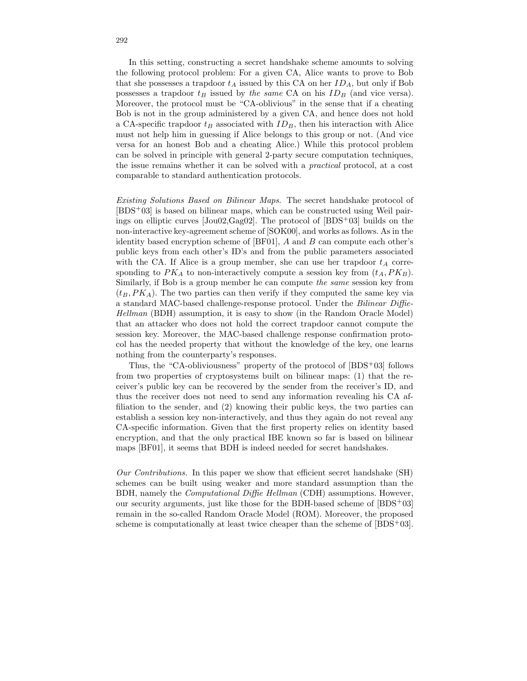In this setting, constructing a secret handshake scheme amounts to solving the following protocol problem: For a given CA, Alice wants to prove to Bob that she possesses a trapdoor  $t_A$  issued by this CA on her  $ID_A$ , but only if Bob possesses a trapdoor  $t_B$  issued by the same CA on his  $ID_B$  (and vice versa). Moreover, the protocol must be "CA-oblivious" in the sense that if a cheating Bob is not in the group administered by a given CA, and hence does not hold a CA-specific trapdoor  $t_B$  associated with  $ID_B$ , then his interaction with Alice must not help him in guessing if Alice belongs to this group or not. (And vice versa for an honest Bob and a cheating Alice.) While this protocol problem can be solved in principle with general 2-party secure computation techniques, the issue remains whether it can be solved with a practical protocol, at a cost comparable to standard authentication protocols.

Existing Solutions Based on Bilinear Maps. The secret handshake protocol of  $[BDS<sup>+</sup>03]$  is based on bilinear maps, which can be constructed using Weil pairings on elliptic curves [Jou02,Gag02]. The protocol of [BDS<sup>+</sup>03] builds on the non-interactive key-agreement scheme of [SOK00], and works as follows. As in the identity based encryption scheme of  $[BF01]$ , A and B can compute each other's public keys from each other's ID's and from the public parameters associated with the CA. If Alice is a group member, she can use her trapdoor  $t_A$  corresponding to  $PK_A$  to non-interactively compute a session key from  $(t_A, PK_B)$ . Similarly, if Bob is a group member he can compute the same session key from  $(t_B, PK_A)$ . The two parties can then verify if they computed the same key via a standard MAC-based challenge-response protocol. Under the Bilinear Diffie-Hellman (BDH) assumption, it is easy to show (in the Random Oracle Model) that an attacker who does not hold the correct trapdoor cannot compute the session key. Moreover, the MAC-based challenge response confirmation protocol has the needed property that without the knowledge of the key, one learns nothing from the counterparty's responses.

Thus, the "CA-obliviousness" property of the protocol of [BDS<sup>+</sup>03] follows from two properties of cryptosystems built on bilinear maps: (1) that the receiver's public key can be recovered by the sender from the receiver's ID, and thus the receiver does not need to send any information revealing his CA affiliation to the sender, and (2) knowing their public keys, the two parties can establish a session key non-interactively, and thus they again do not reveal any CA-specific information. Given that the first property relies on identity based encryption, and that the only practical IBE known so far is based on bilinear maps [BF01], it seems that BDH is indeed needed for secret handshakes.

Our Contributions. In this paper we show that efficient secret handshake (SH) schemes can be built using weaker and more standard assumption than the BDH, namely the Computational Diffie Hellman (CDH) assumptions. However, our security arguments, just like those for the BDH-based scheme of  $[BDS<sup>+</sup>03]$ remain in the so-called Random Oracle Model (ROM). Moreover, the proposed scheme is computationally at least twice cheaper than the scheme of  $[BDS^+03]$ .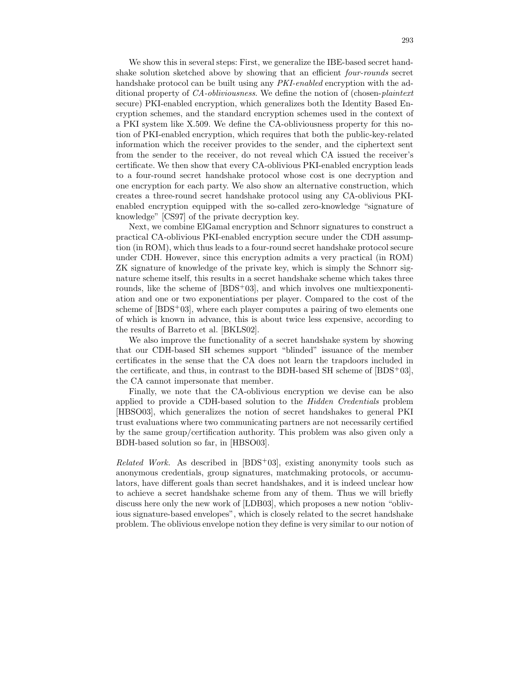We show this in several steps: First, we generalize the IBE-based secret handshake solution sketched above by showing that an efficient four-rounds secret handshake protocol can be built using any *PKI-enabled* encryption with the additional property of CA-obliviousness. We define the notion of (chosen-plaintext secure) PKI-enabled encryption, which generalizes both the Identity Based Encryption schemes, and the standard encryption schemes used in the context of a PKI system like X.509. We define the CA-obliviousness property for this notion of PKI-enabled encryption, which requires that both the public-key-related information which the receiver provides to the sender, and the ciphertext sent from the sender to the receiver, do not reveal which CA issued the receiver's certificate. We then show that every CA-oblivious PKI-enabled encryption leads to a four-round secret handshake protocol whose cost is one decryption and one encryption for each party. We also show an alternative construction, which creates a three-round secret handshake protocol using any CA-oblivious PKIenabled encryption equipped with the so-called zero-knowledge "signature of knowledge" [CS97] of the private decryption key.

Next, we combine ElGamal encryption and Schnorr signatures to construct a practical CA-oblivious PKI-enabled encryption secure under the CDH assumption (in ROM), which thus leads to a four-round secret handshake protocol secure under CDH. However, since this encryption admits a very practical (in ROM) ZK signature of knowledge of the private key, which is simply the Schnorr signature scheme itself, this results in a secret handshake scheme which takes three rounds, like the scheme of  $[BDS<sup>+</sup>03]$ , and which involves one multiexponentiation and one or two exponentiations per player. Compared to the cost of the scheme of  $[BDS+03]$ , where each player computes a pairing of two elements one of which is known in advance, this is about twice less expensive, according to the results of Barreto et al. [BKLS02].

We also improve the functionality of a secret handshake system by showing that our CDH-based SH schemes support "blinded" issuance of the member certificates in the sense that the CA does not learn the trapdoors included in the certificate, and thus, in contrast to the BDH-based SH scheme of  $[BDS<sup>+</sup>03]$ , the CA cannot impersonate that member.

Finally, we note that the CA-oblivious encryption we devise can be also applied to provide a CDH-based solution to the Hidden Credentials problem [HBSO03], which generalizes the notion of secret handshakes to general PKI trust evaluations where two communicating partners are not necessarily certified by the same group/certification authority. This problem was also given only a BDH-based solution so far, in [HBSO03].

Related Work. As described in  $[BDS^+03]$ , existing anonymity tools such as anonymous credentials, group signatures, matchmaking protocols, or accumulators, have different goals than secret handshakes, and it is indeed unclear how to achieve a secret handshake scheme from any of them. Thus we will briefly discuss here only the new work of [LDB03], which proposes a new notion "oblivious signature-based envelopes", which is closely related to the secret handshake problem. The oblivious envelope notion they define is very similar to our notion of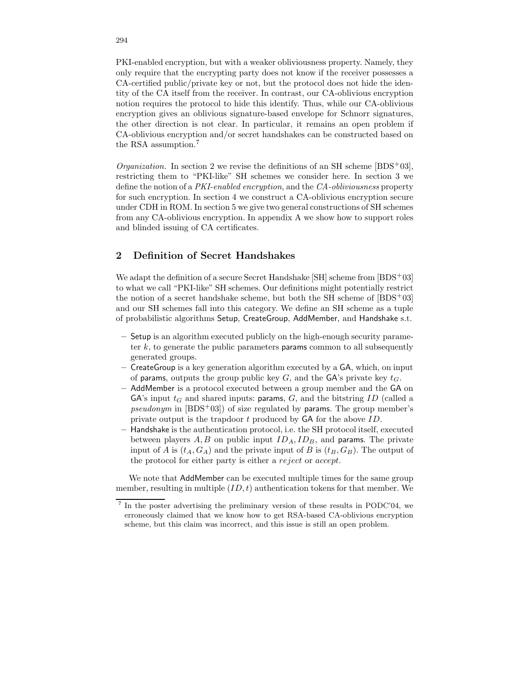PKI-enabled encryption, but with a weaker obliviousness property. Namely, they only require that the encrypting party does not know if the receiver possesses a CA-certified public/private key or not, but the protocol does not hide the identity of the CA itself from the receiver. In contrast, our CA-oblivious encryption notion requires the protocol to hide this identify. Thus, while our CA-oblivious encryption gives an oblivious signature-based envelope for Schnorr signatures, the other direction is not clear. In particular, it remains an open problem if CA-oblivious encryption and/or secret handshakes can be constructed based on the RSA assumption.<sup>7</sup>

*Organization*. In section 2 we revise the definitions of an SH scheme  $[BDS<sup>+</sup>03]$ , restricting them to "PKI-like" SH schemes we consider here. In section 3 we define the notion of a PKI-enabled encryption, and the CA-obliviousness property for such encryption. In section 4 we construct a CA-oblivious encryption secure under CDH in ROM. In section 5 we give two general constructions of SH schemes from any CA-oblivious encryption. In appendix A we show how to support roles and blinded issuing of CA certificates.

# 2 Definition of Secret Handshakes

We adapt the definition of a secure Secret Handshake [SH] scheme from [BDS+03] to what we call "PKI-like" SH schemes. Our definitions might potentially restrict the notion of a secret handshake scheme, but both the SH scheme of  $[BDS<sup>+</sup>03]$ and our SH schemes fall into this category. We define an SH scheme as a tuple of probabilistic algorithms Setup, CreateGroup, AddMember, and Handshake s.t.

- Setup is an algorithm executed publicly on the high-enough security parameter  $k$ , to generate the public parameters params common to all subsequently generated groups.
- CreateGroup is a key generation algorithm executed by a GA, which, on input of params, outputs the group public key  $G$ , and the  $GA$ 's private key  $t_G$ .
- AddMember is a protocol executed between a group member and the GA on  $GA$ 's input  $t_G$  and shared inputs: params, G, and the bitstring ID (called a *pseudonym* in  $[BDS^+03]$  of size regulated by **params**. The group member's private output is the trapdoor t produced by GA for the above ID.
- Handshake is the authentication protocol, i.e. the SH protocol itself, executed between players  $A, B$  on public input  $ID_A, ID_B$ , and params. The private input of A is  $(t_A, G_A)$  and the private input of B is  $(t_B, G_B)$ . The output of the protocol for either party is either a reject or accept.

We note that AddMember can be executed multiple times for the same group member, resulting in multiple  $(ID, t)$  authentication tokens for that member. We

<sup>7</sup> In the poster advertising the preliminary version of these results in PODC'04, we erroneously claimed that we know how to get RSA-based CA-oblivious encryption scheme, but this claim was incorrect, and this issue is still an open problem.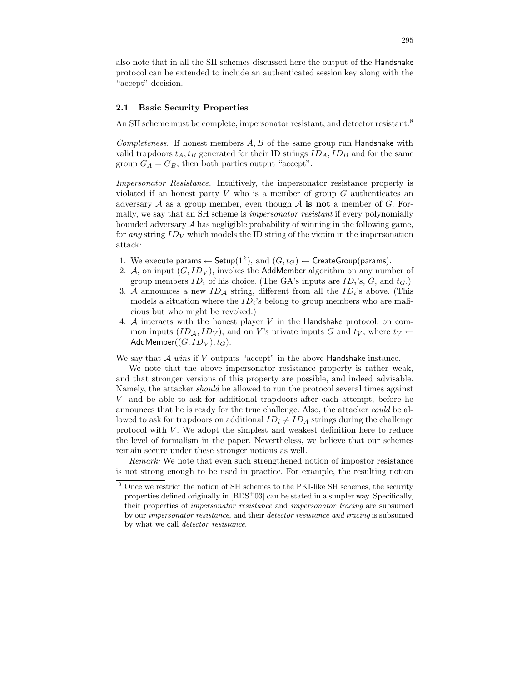also note that in all the SH schemes discussed here the output of the Handshake protocol can be extended to include an authenticated session key along with the "accept" decision.

#### 2.1 Basic Security Properties

An SH scheme must be complete, impersonator resistant, and detector resistant:<sup>8</sup>

Completeness. If honest members  $A, B$  of the same group run Handshake with valid trapdoors  $t_A, t_B$  generated for their ID strings  $ID_A, ID_B$  and for the same group  $G_A = G_B$ , then both parties output "accept".

Impersonator Resistance. Intuitively, the impersonator resistance property is violated if an honest party  $V$  who is a member of group  $G$  authenticates an adversary  $A$  as a group member, even though  $A$  is not a member of  $G$ . Formally, we say that an SH scheme is impersonator resistant if every polynomially bounded adversary  $A$  has negligible probability of winning in the following game, for any string  $ID_V$  which models the ID string of the victim in the impersonation attack:

- 1. We execute params  $\leftarrow$  Setup $(1^k)$ , and  $(G, t_G)$   $\leftarrow$  CreateGroup(params).
- 2. A, on input  $(G, ID_V)$ , invokes the AddMember algorithm on any number of group members  $ID_i$  of his choice. (The GA's inputs are  $ID_i$ 's,  $G$ , and  $t_G$ .)
- 3. A announces a new  $ID_A$  string, different from all the  $ID_i$ 's above. (This models a situation where the  $ID_i$ 's belong to group members who are malicious but who might be revoked.)
- 4.  $A$  interacts with the honest player  $V$  in the Handshake protocol, on common inputs  $(ID_{\mathcal{A}}, ID_{V}),$  and on V's private inputs G and  $t_{V}$ , where  $t_{V} \leftarrow$ AddMember( $(G, ID_V), t_G$ ).

We say that  $A$  wins if  $V$  outputs "accept" in the above Handshake instance.

We note that the above impersonator resistance property is rather weak, and that stronger versions of this property are possible, and indeed advisable. Namely, the attacker should be allowed to run the protocol several times against  $V$ , and be able to ask for additional trapdoors after each attempt, before he announces that he is ready for the true challenge. Also, the attacker could be allowed to ask for trapdoors on additional  $ID_i \neq ID_A$  strings during the challenge protocol with  $V$ . We adopt the simplest and weakest definition here to reduce the level of formalism in the paper. Nevertheless, we believe that our schemes remain secure under these stronger notions as well.

Remark: We note that even such strengthened notion of impostor resistance is not strong enough to be used in practice. For example, the resulting notion

<sup>8</sup> Once we restrict the notion of SH schemes to the PKI-like SH schemes, the security properties defined originally in  $[BDS<sup>+</sup>03]$  can be stated in a simpler way. Specifically, their properties of impersonator resistance and impersonator tracing are subsumed by our impersonator resistance, and their detector resistance and tracing is subsumed by what we call detector resistance.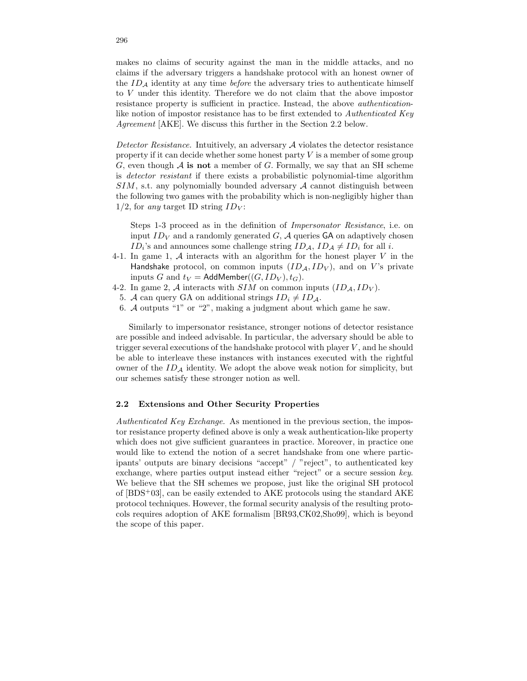makes no claims of security against the man in the middle attacks, and no claims if the adversary triggers a handshake protocol with an honest owner of the  $ID_A$  identity at any time *before* the adversary tries to authenticate himself to V under this identity. Therefore we do not claim that the above impostor resistance property is sufficient in practice. Instead, the above authenticationlike notion of impostor resistance has to be first extended to Authenticated Key Agreement [AKE]. We discuss this further in the Section 2.2 below.

Detector Resistance. Intuitively, an adversary  $A$  violates the detector resistance property if it can decide whether some honest party  $V$  is a member of some group G, even though  $A$  is not a member of G. Formally, we say that an SH scheme is detector resistant if there exists a probabilistic polynomial-time algorithm  $SIM$ , s.t. any polynomially bounded adversary  $A$  cannot distinguish between the following two games with the probability which is non-negligibly higher than  $1/2$ , for any target ID string  $ID_V$ :

Steps 1-3 proceed as in the definition of Impersonator Resistance, i.e. on input  $ID_V$  and a randomly generated  $G$ ,  $A$  queries  $G$ A on adaptively chosen  $ID_i$ 's and announces some challenge string  $ID_A$ ,  $ID_A \neq ID_i$  for all *i*.

- 4-1. In game 1,  $A$  interacts with an algorithm for the honest player V in the Handshake protocol, on common inputs  $(ID<sub>A</sub>, ID<sub>V</sub>)$ , and on V's private inputs G and  $t_V = \text{AddMember}((G, ID_V), t_G)$ .
- 4-2. In game 2, A interacts with  $SIM$  on common inputs  $(ID_A, ID_V)$ .
	- 5. A can query GA on additional strings  $ID_i \neq ID_{\mathcal{A}}$ .
	- 6. A outputs "1" or "2", making a judgment about which game he saw.

Similarly to impersonator resistance, stronger notions of detector resistance are possible and indeed advisable. In particular, the adversary should be able to trigger several executions of the handshake protocol with player  $V$ , and he should be able to interleave these instances with instances executed with the rightful owner of the  $ID_A$  identity. We adopt the above weak notion for simplicity, but our schemes satisfy these stronger notion as well.

#### 2.2 Extensions and Other Security Properties

Authenticated Key Exchange. As mentioned in the previous section, the impostor resistance property defined above is only a weak authentication-like property which does not give sufficient guarantees in practice. Moreover, in practice one would like to extend the notion of a secret handshake from one where participants' outputs are binary decisions "accept" / "reject", to authenticated key exchange, where parties output instead either "reject" or a secure session key. We believe that the SH schemes we propose, just like the original SH protocol of  $[BDS<sup>+</sup>03]$ , can be easily extended to AKE protocols using the standard AKE protocol techniques. However, the formal security analysis of the resulting protocols requires adoption of AKE formalism [BR93,CK02,Sho99], which is beyond the scope of this paper.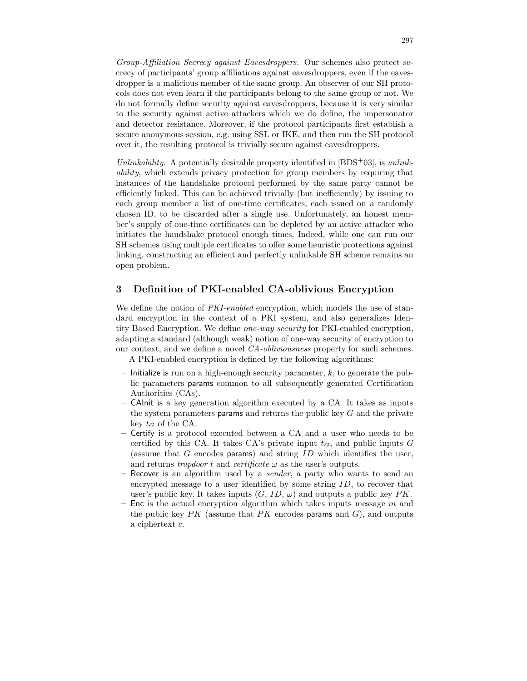Group-Affiliation Secrecy against Eavesdroppers. Our schemes also protect secrecy of participants' group affiliations against eavesdroppers, even if the eavesdropper is a malicious member of the same group. An observer of our SH protocols does not even learn if the participants belong to the same group or not. We do not formally define security against eavesdroppers, because it is very similar to the security against active attackers which we do define, the impersonator and detector resistance. Moreover, if the protocol participants first establish a secure anonymous session, e.g. using SSL or IKE, and then run the SH protocol over it, the resulting protocol is trivially secure against eavesdroppers.

Unlinkability. A potentially desirable property identified in  $[BDS<sup>+</sup>03]$ , is unlinkability, which extends privacy protection for group members by requiring that instances of the handshake protocol performed by the same party cannot be efficiently linked. This can be achieved trivially (but inefficiently) by issuing to each group member a list of one-time certificates, each issued on a randomly chosen ID, to be discarded after a single use. Unfortunately, an honest member's supply of one-time certificates can be depleted by an active attacker who initiates the handshake protocol enough times. Indeed, while one can run our SH schemes using multiple certificates to offer some heuristic protections against linking, constructing an efficient and perfectly unlinkable SH scheme remains an open problem.

## 3 Definition of PKI-enabled CA-oblivious Encryption

We define the notion of *PKI-enabled* encryption, which models the use of standard encryption in the context of a PKI system, and also generalizes Identity Based Encryption. We define one-way security for PKI-enabled encryption, adapting a standard (although weak) notion of one-way security of encryption to our context, and we define a novel CA-obliviousness property for such schemes.

A PKI-enabled encryption is defined by the following algorithms:

- $-$  Initialize is run on a high-enough security parameter,  $k$ , to generate the public parameters params common to all subsequently generated Certification Authorities (CAs).
- CAInit is a key generation algorithm executed by a CA. It takes as inputs the system parameters **params** and returns the public key  $G$  and the private key  $t_G$  of the CA.
- Certify is a protocol executed between a CA and a user who needs to be certified by this CA. It takes CA's private input  $t_G$ , and public inputs G (assume that G encodes params) and string  $ID$  which identifies the user, and returns trapdoor t and certificate  $\omega$  as the user's outputs.
- Recover is an algorithm used by a *sender*, a party who wants to send an encrypted message to a user identified by some string ID, to recover that user's public key. It takes inputs  $(G, ID, \omega)$  and outputs a public key PK.
- Enc is the actual encryption algorithm which takes inputs message  $m$  and the public key  $PK$  (assume that  $PK$  encodes params and  $G$ ), and outputs a ciphertext c.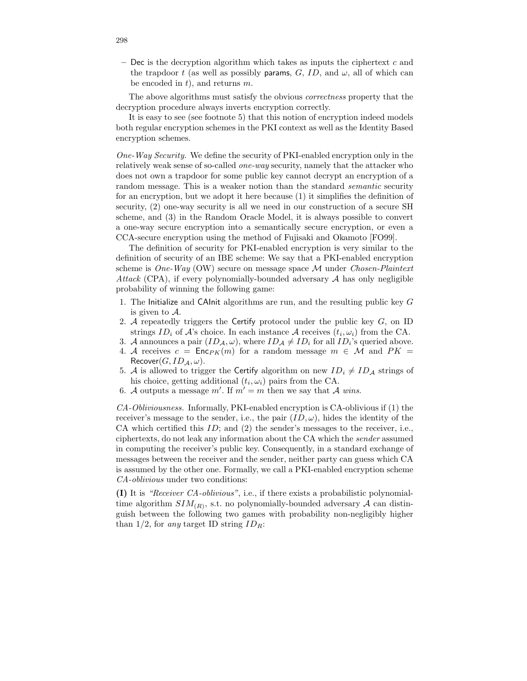– Dec is the decryption algorithm which takes as inputs the ciphertext  $c$  and the trapdoor t (as well as possibly params,  $G$ ,  $ID$ , and  $\omega$ , all of which can be encoded in  $t$ , and returns  $m$ .

The above algorithms must satisfy the obvious correctness property that the decryption procedure always inverts encryption correctly.

It is easy to see (see footnote 5) that this notion of encryption indeed models both regular encryption schemes in the PKI context as well as the Identity Based encryption schemes.

One-Way Security. We define the security of PKI-enabled encryption only in the relatively weak sense of so-called one-way security, namely that the attacker who does not own a trapdoor for some public key cannot decrypt an encryption of a random message. This is a weaker notion than the standard *semantic* security for an encryption, but we adopt it here because (1) it simplifies the definition of security, (2) one-way security is all we need in our construction of a secure SH scheme, and (3) in the Random Oracle Model, it is always possible to convert a one-way secure encryption into a semantically secure encryption, or even a CCA-secure encryption using the method of Fujisaki and Okamoto [FO99].

The definition of security for PKI-enabled encryption is very similar to the definition of security of an IBE scheme: We say that a PKI-enabled encryption scheme is One-Way (OW) secure on message space  $M$  under Chosen-Plaintext Attack (CPA), if every polynomially-bounded adversary  $A$  has only negligible probability of winning the following game:

- 1. The Initialize and CAInit algorithms are run, and the resulting public key G is given to A.
- 2. A repeatedly triggers the Certify protocol under the public key  $G$ , on ID strings  $ID_i$  of  $A$ 's choice. In each instance  $A$  receives  $(t_i, \omega_i)$  from the CA.
- 3. A announces a pair  $(ID_{\mathcal{A}}, \omega)$ , where  $ID_{\mathcal{A}} \neq ID_i$  for all  $ID_i$ 's queried above.
- 4. A receives  $c = \mathsf{Enc}_{PK}(m)$  for a random message  $m \in \mathcal{M}$  and  $PK =$ Recover $(G, ID_A, \omega)$ .
- 5. A is allowed to trigger the Certify algorithm on new  $ID_i \neq ID_A$  strings of his choice, getting additional  $(t_i, \omega_i)$  pairs from the CA.
- 6. A outputs a message m'. If  $m' = m$  then we say that A wins.

CA-Obliviousness. Informally, PKI-enabled encryption is CA-oblivious if (1) the receiver's message to the sender, i.e., the pair  $(ID, \omega)$ , hides the identity of the CA which certified this  $ID$ ; and  $(2)$  the sender's messages to the receiver, i.e., ciphertexts, do not leak any information about the CA which the sender assumed in computing the receiver's public key. Consequently, in a standard exchange of messages between the receiver and the sender, neither party can guess which CA is assumed by the other one. Formally, we call a PKI-enabled encryption scheme CA-oblivious under two conditions:

(I) It is "Receiver CA-oblivious", i.e., if there exists a probabilistic polynomialtime algorithm  $SIM_{(R)}$ , s.t. no polynomially-bounded adversary A can distinguish between the following two games with probability non-negligibly higher than 1/2, for any target ID string  $ID_R$ :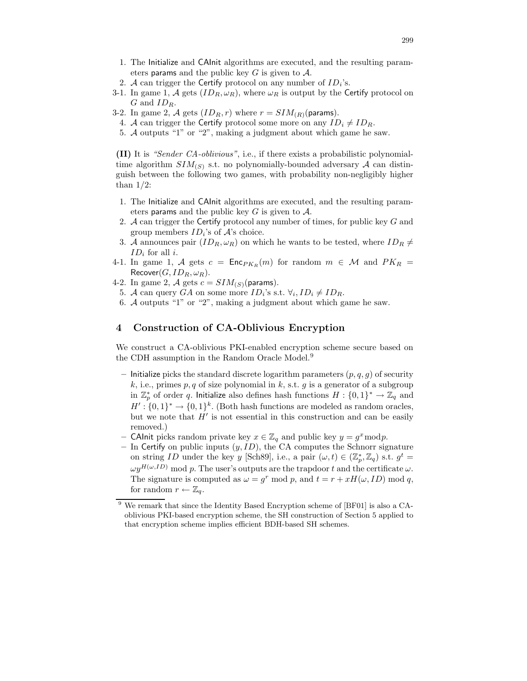- 1. The Initialize and CAInit algorithms are executed, and the resulting parameters params and the public key  $G$  is given to  $\mathcal{A}$ .
- 2. A can trigger the Certify protocol on any number of  $ID_i$ 's.
- 3-1. In game 1, A gets  $(ID_R, \omega_R)$ , where  $\omega_R$  is output by the Certify protocol on  $G$  and  $ID_R$ .
- 3-2. In game 2, A gets  $(ID_R, r)$  where  $r = SIM_{(R)}$  (params).
	- 4. A can trigger the Certify protocol some more on any  $ID_i \neq ID_R$ .
	- 5. A outputs "1" or "2", making a judgment about which game he saw.

(II) It is "Sender CA-oblivious", i.e., if there exists a probabilistic polynomialtime algorithm  $SIM_{(S)}$  s.t. no polynomially-bounded adversary A can distinguish between the following two games, with probability non-negligibly higher than  $1/2$ :

- 1. The Initialize and CAInit algorithms are executed, and the resulting parameters params and the public key  $G$  is given to  $\mathcal{A}$ .
- 2. A can trigger the Certify protocol any number of times, for public key  $G$  and group members  $ID_i$ 's of  $A$ 's choice.
- 3. A announces pair  $(ID_R, \omega_R)$  on which he wants to be tested, where  $ID_R \neq$  $ID_i$  for all i.
- 4-1. In game 1, A gets  $c = \text{Enc}_{PK_R}(m)$  for random  $m \in \mathcal{M}$  and  $PK_R =$  $\mathsf{Recover}(G, ID_R, \omega_R).$
- 4-2. In game 2, A gets  $c = SIM_{(S)}($ params).
	- 5. A can query GA on some more  $ID_i$ 's s.t.  $\forall i, ID_i \neq ID_R$ .
	- 6. A outputs "1" or "2", making a judgment about which game he saw.

### 4 Construction of CA-Oblivious Encryption

We construct a CA-oblivious PKI-enabled encryption scheme secure based on the CDH assumption in the Random Oracle Model.<sup>9</sup>

- Initialize picks the standard discrete logarithm parameters  $(p, q, g)$  of security k, i.e., primes  $p, q$  of size polynomial in k, s.t. g is a generator of a subgroup in  $\mathbb{Z}_p^*$  of order q. Initialize also defines hash functions  $H: \{0,1\}^* \to \mathbb{Z}_q$  and  $H': \{0,1\}^* \to \{0,1\}^k$ . (Both hash functions are modeled as random oracles, but we note that  $H'$  is not essential in this construction and can be easily removed.)
- CAInit picks random private key  $x \in \mathbb{Z}_q$  and public key  $y = g^x \text{mod} p$ .
- In Certify on public inputs  $(y, ID)$ , the CA computes the Schnorr signature on string ID under the key y [Sch89], i.e., a pair  $(\omega, t) \in (\mathbb{Z}_p^*, \mathbb{Z}_q)$  s.t.  $g^t =$  $\omega y^{H(\omega, ID)} \bmod p$ . The user's outputs are the trapdoor t and the certificate  $\omega$ . The signature is computed as  $\omega = g^r \mod p$ , and  $t = r + xH(\omega, ID) \mod q$ , for random  $r \leftarrow \mathbb{Z}_q$ .

<sup>9</sup> We remark that since the Identity Based Encryption scheme of [BF01] is also a CAoblivious PKI-based encryption scheme, the SH construction of Section 5 applied to that encryption scheme implies efficient BDH-based SH schemes.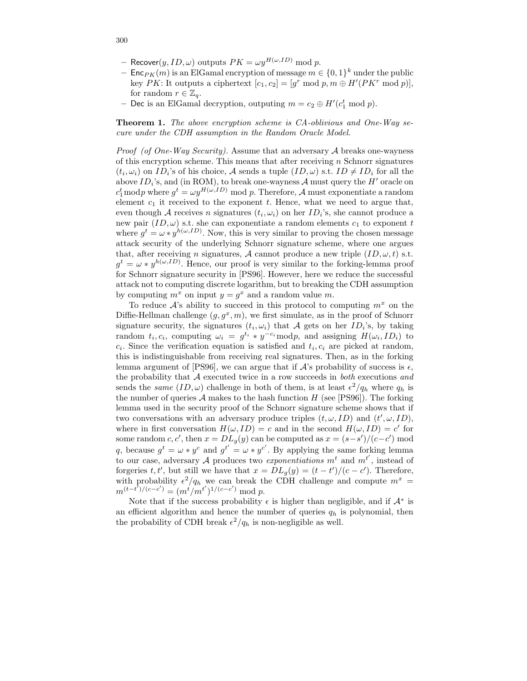- $-$  Recover $(y, ID, \omega)$  outputs  $PK = \omega y^{H(\omega, ID)} \bmod p$ .
- $\mathsf{Enc}_{PK}(m)$  is an ElGamal encryption of message  $m \in \{0,1\}^k$  under the public key  $PK:$  It outputs a ciphertext  $[c_1, c_2] = [g^r \bmod p, m \oplus H'(PK^r \bmod p)],$ for random  $r \in \mathbb{Z}_q$ .
- Dec is an ElGamal decryption, outputing  $m = c_2 \oplus H'(c_1^t \mod p)$ .

Theorem 1. The above encryption scheme is CA-oblivious and One-Way secure under the CDH assumption in the Random Oracle Model.

*Proof (of One-Way Security).* Assume that an adversary  $A$  breaks one-wayness of this encryption scheme. This means that after receiving  $n$  Schnorr signatures  $(t_i, \omega_i)$  on  $ID_i$ 's of his choice, A sends a tuple  $(ID, \omega)$  s.t.  $ID \neq ID_i$  for all the above  $ID_i$ 's, and (in ROM), to break one-wayness  $\mathcal A$  must query the  $H'$  oracle on  $c_1^t \text{ mod } p$  where  $g^t = \omega y^{H(\omega, ID)} \text{ mod } p$ . Therefore, A must exponentiate a random element  $c_1$  it received to the exponent t. Hence, what we need to argue that, even though A receives n signatures  $(t_i, \omega_i)$  on her  $ID_i$ 's, she cannot produce a new pair  $(ID, \omega)$  s.t. she can exponentiate a random elements  $c_1$  to exponent t where  $g^t = \omega * y^{h(\omega, ID)}$ . Now, this is very similar to proving the chosen message attack security of the underlying Schnorr signature scheme, where one argues that, after receiving n signatures, A cannot produce a new triple  $(ID, \omega, t)$  s.t.  $g^t = \omega * y^{h(\omega, ID)}$ . Hence, our proof is very similar to the forking-lemma proof for Schnorr signature security in [PS96]. However, here we reduce the successful attack not to computing discrete logarithm, but to breaking the CDH assumption by computing  $m^x$  on input  $y = g^x$  and a random value m.

To reduce  $\mathcal{A}$ 's ability to succeed in this protocol to computing  $m^x$  on the Diffie-Hellman challenge  $(g, g^x, m)$ , we first simulate, as in the proof of Schnorr signature security, the signatures  $(t_i, \omega_i)$  that A gets on her  $ID_i$ 's, by taking random  $t_i, c_i$ , computing  $\omega_i = g^{t_i} * y^{-c_i} \text{mod} p$ , and assigning  $H(\omega_i, ID_i)$  to  $c_i$ . Since the verification equation is satisfied and  $t_i, c_i$  are picked at random, this is indistinguishable from receiving real signatures. Then, as in the forking lemma argument of [PS96], we can argue that if  $\mathcal{A}$ 's probability of success is  $\epsilon$ , the probability that  $A$  executed twice in a row succeeds in *both* executions and sends the *same*  $(ID, \omega)$  challenge in both of them, is at least  $\epsilon^2/q_h$  where  $q_h$  is the number of queries  $A$  makes to the hash function  $H$  (see [PS96]). The forking lemma used in the security proof of the Schnorr signature scheme shows that if two conversations with an adversary produce triples  $(t, \omega, ID)$  and  $(t', \omega, ID)$ , where in first conversation  $H(\omega, ID) = c$  and in the second  $H(\omega, ID) = c'$  for some random  $c, c'$ , then  $x = D L_g(y)$  can be computed as  $x = (s - s')/(c - c')$  mod q, because  $g^t = \omega * y^c$  and  $g^{t'} = \omega * y^{c'}$ . By applying the same forking lemma to our case, adversary A produces two *exponentiations*  $m<sup>t</sup>$  and  $m<sup>t'</sup>$ , instead of forgeries t, t', but still we have that  $x = DL_g(y) = (t - t')/(c - c')$ . Therefore, with probability  $\epsilon^2/q_h$  we can break the CDH challenge and compute  $m^x$  =  $m^{(t-t')/(c-c')} = (m^{t'}/m^{t'})^{1/(c-c')} \mod p.$ 

Note that if the success probability  $\epsilon$  is higher than negligible, and if  $\mathcal{A}^*$  is an efficient algorithm and hence the number of queries  $q_h$  is polynomial, then the probability of CDH break  $\epsilon^2/q_h$  is non-negligible as well.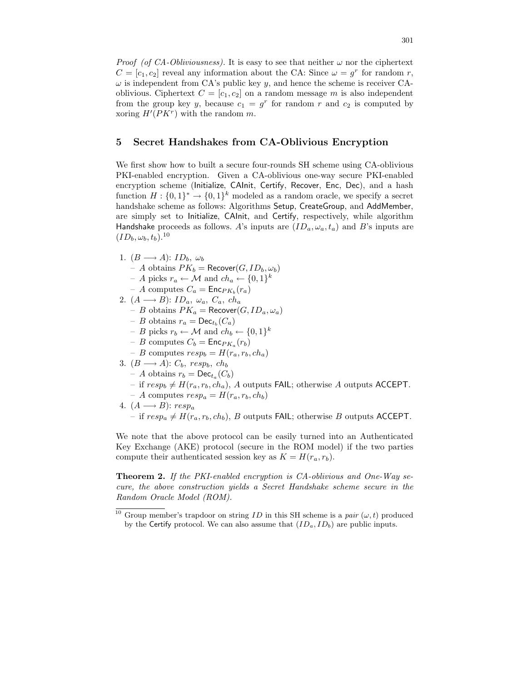*Proof (of CA-Obliviousness)*. It is easy to see that neither  $\omega$  nor the ciphertext  $C = [c_1, c_2]$  reveal any information about the CA: Since  $\omega = g^r$  for random r,  $\omega$  is independent from CA's public key y, and hence the scheme is receiver CAoblivious. Ciphertext  $C = [c_1, c_2]$  on a random message m is also independent from the group key y, because  $c_1 = g^r$  for random r and  $c_2$  is computed by xoring  $H'(PK<sup>r</sup>)$  with the random m.

## 5 Secret Handshakes from CA-Oblivious Encryption

We first show how to built a secure four-rounds SH scheme using CA-oblivious PKI-enabled encryption. Given a CA-oblivious one-way secure PKI-enabled encryption scheme (Initialize, CAInit, Certify, Recover, Enc, Dec), and a hash function  $H: \{0,1\}^* \to \{0,1\}^k$  modeled as a random oracle, we specify a secret handshake scheme as follows: Algorithms Setup, CreateGroup, and AddMember, are simply set to Initialize, CAInit, and Certify, respectively, while algorithm Handshake proceeds as follows. A's inputs are  $(ID_a, \omega_a, t_a)$  and B's inputs are  $(ID_b, \omega_b, t_b).$ <sup>10</sup>

- 1.  $(B \longrightarrow A)$ :  $ID_b$ ,  $\omega_b$ 
	- A obtains  $PK_b$  = Recover $(G, ID_b, \omega_b)$
	- A picks  $r_a \leftarrow \mathcal{M}$  and  $ch_a \leftarrow \{0,1\}^k$
	- $-$  A computes  $C_a = \mathsf{Enc}_{PK_b}(r_a)$
- 2.  $(A \rightarrow B)$ :  $ID_a$ ,  $\omega_a$ ,  $C_a$ ,  $ch_a$ 
	- B obtains  $PK_a = \text{Recover}(G, ID_a, \omega_a)$
	- $-$  B obtains  $r_a = \mathsf{Dec}_{t_b}(C_a)$
	- B picks  $r_b \leftarrow M$  and  $ch_b \leftarrow \{0,1\}^k$
	- $-B$  computes  $C_b = \mathsf{Enc}_{PK_a}(r_b)$
	- B computes  $resp_b = H(r_a, r_b, ch_a)$
- 3.  $(B \longrightarrow A)$ :  $C_b$ , resp<sub>b</sub>, ch<sub>b</sub>
	- $A$  obtains  $r_b = \textsf{Dec}_{t_a}(C_b)$
	- if  $resp_b \neq H(r_a, r_b, ch_a)$ , A outputs FAIL; otherwise A outputs ACCEPT.
	- A computes  $resp_a = H(r_a, r_b, ch_b)$
- 4.  $(A \rightarrow B)$ :  $resp_a$ 
	- if  $resp_a \neq H(r_a, r_b, ch_b), B$  outputs FAIL; otherwise B outputs ACCEPT.

We note that the above protocol can be easily turned into an Authenticated Key Exchange (AKE) protocol (secure in the ROM model) if the two parties compute their authenticated session key as  $K = H(r_a, r_b)$ .

Theorem 2. If the PKI-enabled encryption is CA-oblivious and One-Way secure, the above construction yields a Secret Handshake scheme secure in the Random Oracle Model (ROM).

<sup>&</sup>lt;sup>10</sup> Group member's trapdoor on string ID in this SH scheme is a pair  $(\omega, t)$  produced by the Certify protocol. We can also assume that  $(ID_a, ID_b)$  are public inputs.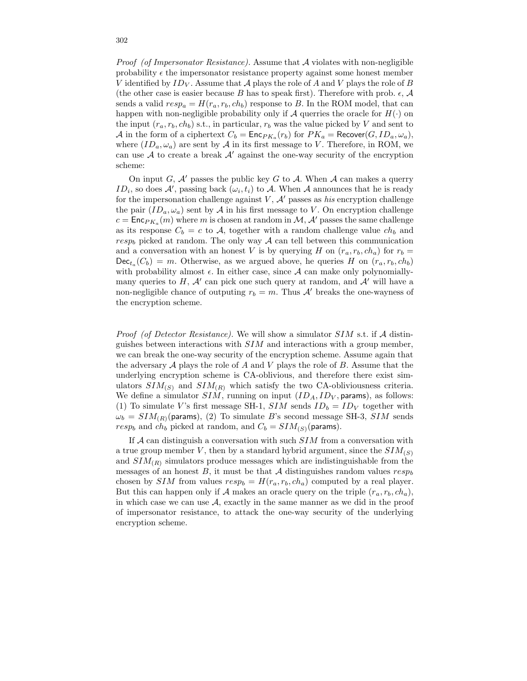Proof (of Impersonator Resistance). Assume that A violates with non-negligible probability  $\epsilon$  the impersonator resistance property against some honest member V identified by  $ID_V$ . Assume that A plays the role of A and V plays the role of B (the other case is easier because B has to speak first). Therefore with prob.  $\epsilon$ , A sends a valid  $resp_a = H(r_a, r_b, ch_b)$  response to B. In the ROM model, that can happen with non-negligible probability only if A querries the oracle for  $H(\cdot)$  on the input  $(r_a, r_b, ch_b)$  s.t., in particular,  $r_b$  was the value picked by V and sent to A in the form of a ciphertext  $C_b = \mathsf{Enc}_{PK_a}(r_b)$  for  $PK_a = \mathsf{Recover}(G, ID_a, \omega_a)$ , where  $(ID_a, \omega_a)$  are sent by A in its first message to V. Therefore, in ROM, we can use  $A$  to create a break  $A'$  against the one-way security of the encryption scheme:

On input G,  $\mathcal A'$  passes the public key G to  $\mathcal A$ . When  $\mathcal A$  can makes a querry ID<sub>i</sub>, so does A', passing back  $(\omega_i, t_i)$  to A. When A announces that he is ready for the impersonation challenge against  $V$ ,  $\mathcal{A}'$  passes as his encryption challenge the pair  $(ID_a, \omega_a)$  sent by A in his first message to V. On encryption challenge  $c = \textsf{Enc}_{PK_a}(m)$  where m is chosen at random in  $\mathcal{M}, \mathcal{A}'$  passes the same challenge as its response  $C_b = c$  to A, together with a random challenge value  $ch_b$  and  $resp<sub>b</sub>$  picked at random. The only way  $A$  can tell between this communication and a conversation with an honest V is by querying H on  $(r_a, r_b, ch_a)$  for  $r_b =$  $\mathsf{Dec}_{t_a}(C_b) = m.$  Otherwise, as we argued above, he queries H on  $(r_a, r_b, ch_b)$ with probability almost  $\epsilon$ . In either case, since  $\mathcal A$  can make only polynomiallymany queries to  $H$ ,  $\mathcal{A}'$  can pick one such query at random, and  $\mathcal{A}'$  will have a non-negligible chance of outputing  $r_b = m$ . Thus A' breaks the one-wayness of the encryption scheme.

*Proof (of Detector Resistance).* We will show a simulator  $SIM$  s.t. if A distinguishes between interactions with  $SIM$  and interactions with a group member, we can break the one-way security of the encryption scheme. Assume again that the adversary  $A$  plays the role of  $A$  and  $V$  plays the role of  $B$ . Assume that the underlying encryption scheme is CA-oblivious, and therefore there exist simulators  $SIM_{(S)}$  and  $SIM_{(R)}$  which satisfy the two CA-obliviousness criteria. We define a simulator  $SIM$ , running on input  $(ID<sub>A</sub>, ID<sub>V</sub>,$  params), as follows: (1) To simulate V's first message SH-1,  $SIM$  sends  $ID_b = ID_V$  together with  $\omega_b = SIM_{(R)}$ (params), (2) To simulate B's second message SH-3, SIM sends resp<sub>b</sub> and ch<sub>b</sub> picked at random, and  $C_b = SIM_{(S)}$ (params).

If  $A$  can distinguish a conversation with such  $SIM$  from a conversation with a true group member V, then by a standard hybrid argument, since the  $SIM_{(S)}$ and  $SIM_{(R)}$  simulators produce messages which are indistinguishable from the messages of an honest B, it must be that A distinguishes random values  $resp<sub>b</sub>$ chosen by SIM from values  $resp_b = H(r_a, r_b, ch_a)$  computed by a real player. But this can happen only if A makes an oracle query on the triple  $(r_a, r_b, ch_a)$ , in which case we can use  $A$ , exactly in the same manner as we did in the proof of impersonator resistance, to attack the one-way security of the underlying encryption scheme.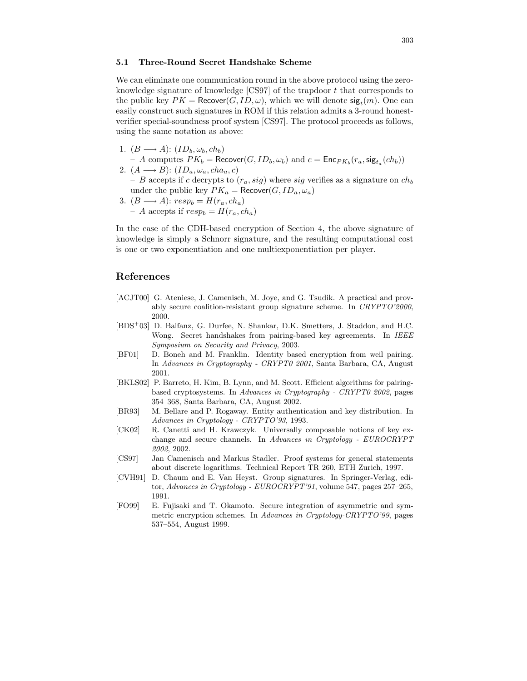#### 5.1 Three-Round Secret Handshake Scheme

We can eliminate one communication round in the above protocol using the zeroknowledge signature of knowledge  $[CS97]$  of the trapdoor t that corresponds to the public key  $PK = \text{Recover}(G, ID, \omega)$ , which we will denote  $\text{sig}_t(m)$ . One can easily construct such signatures in ROM if this relation admits a 3-round honestverifier special-soundness proof system [CS97]. The protocol proceeds as follows, using the same notation as above:

- 1.  $(B \longrightarrow A)$ :  $(ID_b, \omega_b, ch_b)$  $-$  A computes  $PK_b = \text{Recover}(G, ID_b, \omega_b)$  and  $c = \text{Enc}_{PK_b}(r_a, \text{sig}_{t_a}(ch_b))$
- 2.  $(A \rightarrow B)$ :  $(ID_a, \omega_a, cha_a, c)$ – B accepts if c decrypts to  $(r_a, sig)$  where sig verifies as a signature on  $ch_b$ under the public key  $PK_a = \text{Recover}(G, ID_a, \omega_a)$
- 3.  $(B \longrightarrow A)$ :  $resp_b = H(r_a, ch_a)$ – A accepts if  $resp_b = H(r_a, ch_a)$

In the case of the CDH-based encryption of Section 4, the above signature of knowledge is simply a Schnorr signature, and the resulting computational cost is one or two exponentiation and one multiexponentiation per player.

## References

- [ACJT00] G. Ateniese, J. Camenisch, M. Joye, and G. Tsudik. A practical and provably secure coalition-resistant group signature scheme. In CRYPTO'2000, 2000.
- [BDS<sup>+</sup>03] D. Balfanz, G. Durfee, N. Shankar, D.K. Smetters, J. Staddon, and H.C. Wong. Secret handshakes from pairing-based key agreements. In IEEE Symposium on Security and Privacy, 2003.
- [BF01] D. Boneh and M. Franklin. Identity based encryption from weil pairing. In Advances in Cryptography - CRYPT0 2001, Santa Barbara, CA, August 2001.
- [BKLS02] P. Barreto, H. Kim, B. Lynn, and M. Scott. Efficient algorithms for pairingbased cryptosystems. In Advances in Cryptography - CRYPT0 2002, pages 354–368, Santa Barbara, CA, August 2002.
- [BR93] M. Bellare and P. Rogaway. Entity authentication and key distribution. In Advances in Cryptology - CRYPTO'93, 1993.
- [CK02] R. Canetti and H. Krawczyk. Universally composable notions of key exchange and secure channels. In Advances in Cryptology - EUROCRYPT 2002, 2002.
- [CS97] Jan Camenisch and Markus Stadler. Proof systems for general statements about discrete logarithms. Technical Report TR 260, ETH Zurich, 1997.
- [CVH91] D. Chaum and E. Van Heyst. Group signatures. In Springer-Verlag, editor, Advances in Cryptology - EUROCRYPT'91, volume 547, pages 257–265, 1991.
- [FO99] E. Fujisaki and T. Okamoto. Secure integration of asymmetric and symmetric encryption schemes. In Advances in Cryptology-CRYPTO'99, pages 537–554, August 1999.